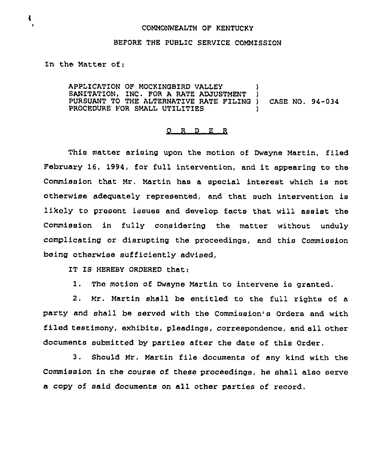## COMMONWEALTH OF KENTUCKY

## BEFORE THE PUBLIC SERVICE COMMISSION

In the Matter of:

4

APPLICATION OF MOCKINGBIRD VALLEY SANITATION, INC. FOR A RATE ADJUSTMENT PURSUANT TO THE ALTERNATIVE RATE FILING ) CASE NO. 94-034 PROCEDURE FOR SMALL UTILITIES

## $O$  R  $D$  E R

This matter arising upon the motion of Dwayne Martin, filed February 16, 1994, for full intervention, and it appearing to the Commission that Mr, Martin has a special interest which is not otherwise adequately represented, and that such intervention is likely to present issues and develop facts that will assist the Commission in fully considering the matter without unduly complicating or disrupting the proceedings, and this Commission being otherwise sufficiently advised,

IT IS HEREBY ORDERED that:

1. The motion of Dwayne Martin to intervene is granted.

2. Mr. Martin shall be entitled to the full rights of a party and shall be served with the Commission's Orders and with filed testimony, exhibits, pleadings, correspondence, and all other documents submitted by parties after the date of this Order.

3, Should Mr, Martin file documents of any kind with the Commission in the course of these proceedings, he shall also serve a copy of said documents on all other parties of record.